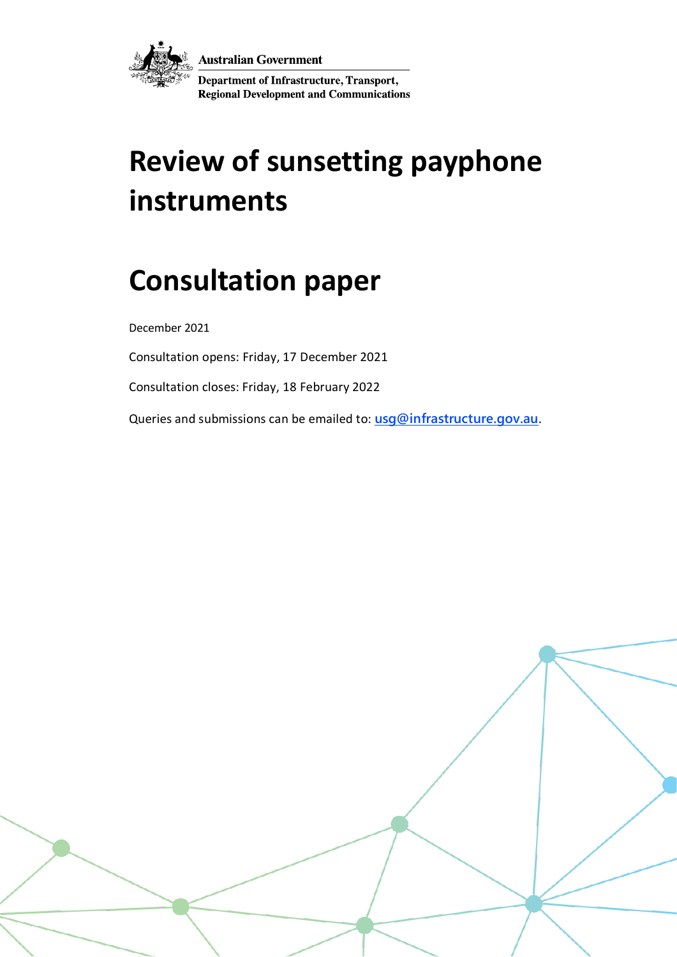



Department of Infrastructure, Transport, **Regional Development and Communications** 

# **Review of sunsetting payphone instruments**

## **Consultation paper**

December 2021

Consultation opens: Friday, 17 December 2021

Consultation closes: Friday, 18 February 2022

Queries and submissions can be emailed to: **[usg@infrastructure.gov.au](mailto:usg@infrastructure.gov.au)**.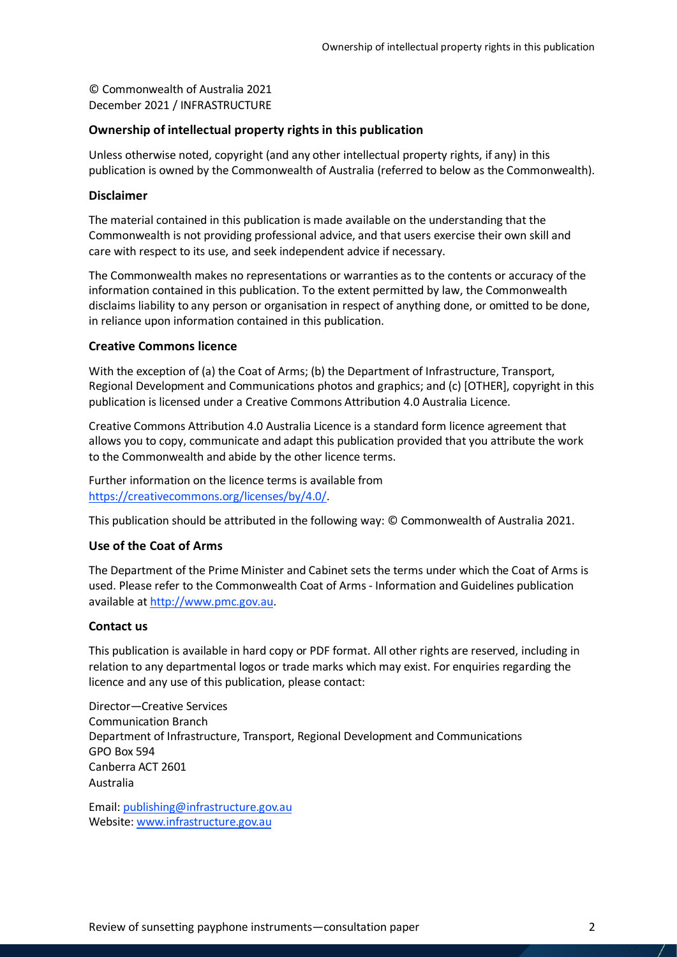© Commonwealth of Australia 2021 December 2021 / INFRASTRUCTURE

#### **Ownership of intellectual property rights in this publication**

Unless otherwise noted, copyright (and any other intellectual property rights, if any) in this publication is owned by the Commonwealth of Australia (referred to below as the Commonwealth).

#### **Disclaimer**

The material contained in this publication is made available on the understanding that the Commonwealth is not providing professional advice, and that users exercise their own skill and care with respect to its use, and seek independent advice if necessary.

The Commonwealth makes no representations or warranties as to the contents or accuracy of the information contained in this publication. To the extent permitted by law, the Commonwealth disclaims liability to any person or organisation in respect of anything done, or omitted to be done, in reliance upon information contained in this publication.

#### **Creative Commons licence**

With the exception of (a) the Coat of Arms; (b) the Department of Infrastructure, Transport, Regional Development and Communications photos and graphics; and (c) [OTHER], copyright in this publication is licensed under a Creative Commons Attribution 4.0 Australia Licence.

Creative Commons Attribution 4.0 Australia Licence is a standard form licence agreement that allows you to copy, communicate and adapt this publication provided that you attribute the work to the Commonwealth and abide by the other licence terms.

Further information on the licence terms is available from [https://creativecommons.org/licenses/by/4.0/.](https://creativecommons.org/licenses/by/4.0/)

This publication should be attributed in the following way: © Commonwealth of Australia 2021.

#### **Use of the Coat of Arms**

The Department of the Prime Minister and Cabinet sets the terms under which the Coat of Arms is used. Please refer to the Commonwealth Coat of Arms - Information and Guidelines publication available a[t http://www.pmc.gov.au.](http://www.pmc.gov.au/)

#### **Contact us**

This publication is available in hard copy or PDF format. All other rights are reserved, including in relation to any departmental logos or trade marks which may exist. For enquiries regarding the licence and any use of this publication, please contact:

Director—Creative Services Communication Branch Department of Infrastructure, Transport, Regional Development and Communications GPO Box 594 Canberra ACT 2601 Australia

Email: [publishing@infrastructure.gov.au](mailto:publishing@infrastructure.gov.au) Website: [www.infrastructure.gov.au](http://www.infrastructure.gov.au/)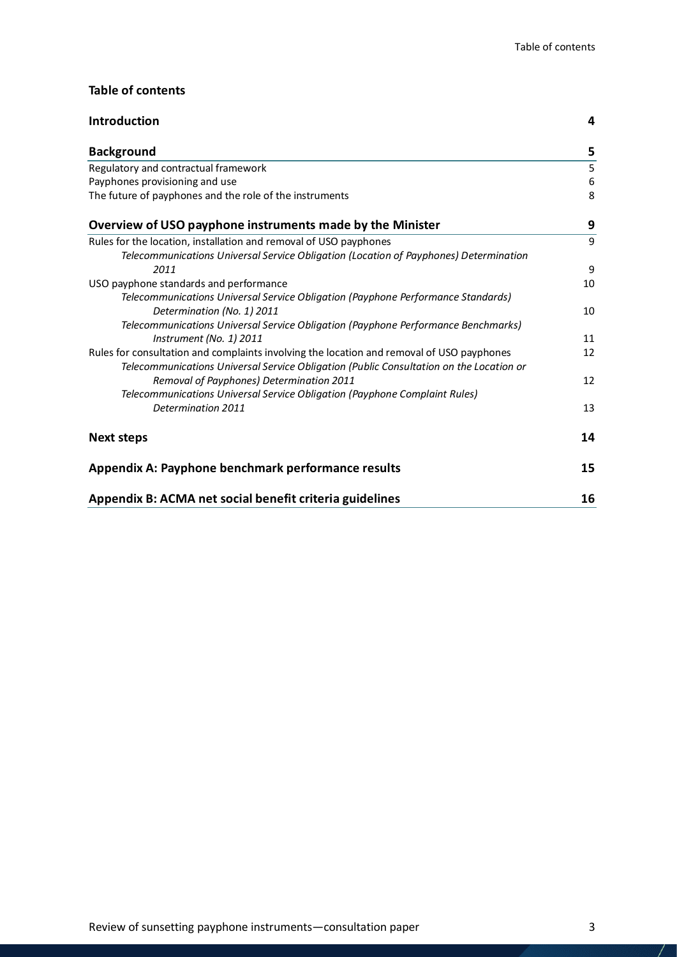#### **Table of contents**

| <b>Introduction</b>                                                                       | 4  |
|-------------------------------------------------------------------------------------------|----|
| <b>Background</b>                                                                         | 5  |
| Regulatory and contractual framework                                                      | 5  |
| Payphones provisioning and use                                                            | 6  |
| The future of payphones and the role of the instruments                                   | 8  |
| Overview of USO payphone instruments made by the Minister                                 | 9  |
| Rules for the location, installation and removal of USO payphones                         | 9  |
| Telecommunications Universal Service Obligation (Location of Payphones) Determination     |    |
| 2011                                                                                      | 9  |
| USO payphone standards and performance                                                    | 10 |
| Telecommunications Universal Service Obligation (Payphone Performance Standards)          |    |
| Determination (No. 1) 2011                                                                | 10 |
| Telecommunications Universal Service Obligation (Payphone Performance Benchmarks)         |    |
| Instrument (No. 1) 2011                                                                   | 11 |
| Rules for consultation and complaints involving the location and removal of USO payphones | 12 |
| Telecommunications Universal Service Obligation (Public Consultation on the Location or   |    |
| Removal of Payphones) Determination 2011                                                  | 12 |
| Telecommunications Universal Service Obligation (Payphone Complaint Rules)                |    |
| Determination 2011                                                                        | 13 |
| <b>Next steps</b>                                                                         | 14 |
| Appendix A: Payphone benchmark performance results                                        | 15 |
| Appendix B: ACMA net social benefit criteria guidelines                                   | 16 |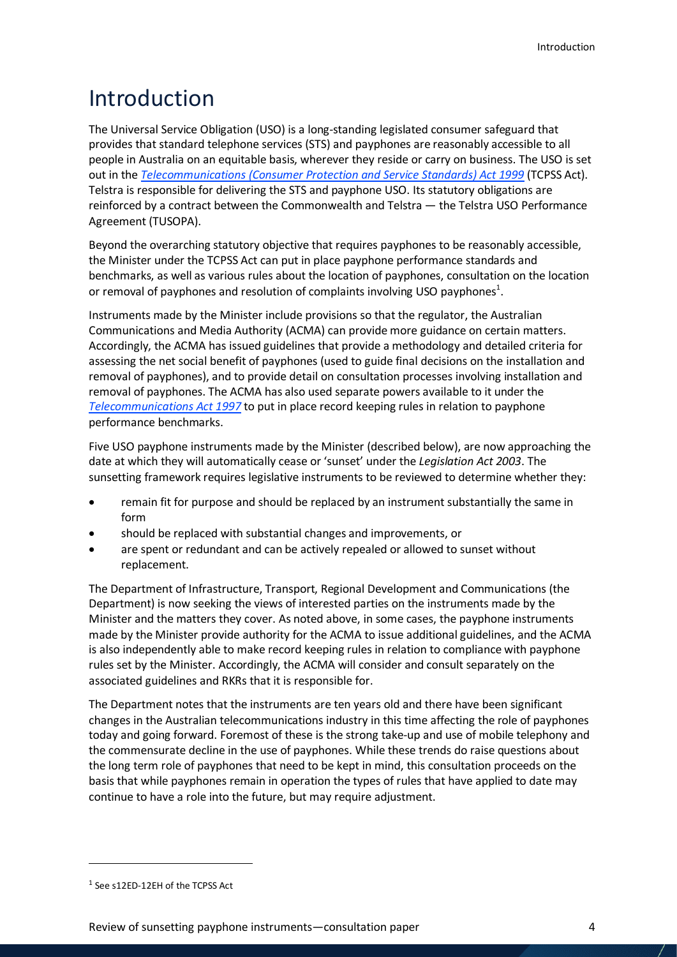## <span id="page-3-0"></span>Introduction

The Universal Service Obligation (USO) is a long-standing legislated consumer safeguard that provides that standard telephone services (STS) and payphones are reasonably accessible to all people in Australia on an equitable basis, wherever they reside or carry on business. The USO is set out in the *[Telecommunications \(Consumer Protection and Service Standards\) Act 1999](https://www.legislation.gov.au/Latest/C2020C00180)* (TCPSS Act). Telstra is responsible for delivering the STS and payphone USO. Its statutory obligations are reinforced by a contract between the Commonwealth and Telstra — the Telstra USO Performance Agreement (TUSOPA).

Beyond the overarching statutory objective that requires payphones to be reasonably accessible, the Minister under the TCPSS Act can put in place payphone performance standards and benchmarks, as well as various rules about the location of payphones, consultation on the location or removal of payphones and resolution of complaints involving USO payphones<sup>[1](#page-3-1)</sup>.

Instruments made by the Minister include provisions so that the regulator, the Australian Communications and Media Authority (ACMA) can provide more guidance on certain matters. Accordingly, the ACMA has issued guidelines that provide a methodology and detailed criteria for assessing the net social benefit of payphones (used to guide final decisions on the installation and removal of payphones), and to provide detail on consultation processes involving installation and removal of payphones. The ACMA has also used separate powers available to it under the *[Telecommunications Act 1997](https://www.legislation.gov.au/Series/C2004A05145)* to put in place record keeping rules in relation to payphone performance benchmarks.

Five USO payphone instruments made by the Minister (described below), are now approaching the date at which they will automatically cease or 'sunset' under the *Legislation Act 2003*. The sunsetting framework requires legislative instruments to be reviewed to determine whether they:

- remain fit for purpose and should be replaced by an instrument substantially the same in form
- should be replaced with substantial changes and improvements, or
- are spent or redundant and can be actively repealed or allowed to sunset without replacement.

The Department of Infrastructure, Transport, Regional Development and Communications (the Department) is now seeking the views of interested parties on the instruments made by the Minister and the matters they cover. As noted above, in some cases, the payphone instruments made by the Minister provide authority for the ACMA to issue additional guidelines, and the ACMA is also independently able to make record keeping rules in relation to compliance with payphone rules set by the Minister. Accordingly, the ACMA will consider and consult separately on the associated guidelines and RKRs that it is responsible for.

The Department notes that the instruments are ten years old and there have been significant changes in the Australian telecommunications industry in this time affecting the role of payphones today and going forward. Foremost of these is the strong take-up and use of mobile telephony and the commensurate decline in the use of payphones. While these trends do raise questions about the long term role of payphones that need to be kept in mind, this consultation proceeds on the basis that while payphones remain in operation the types of rules that have applied to date may continue to have a role into the future, but may require adjustment.

 $\overline{\phantom{a}}$ 

<span id="page-3-1"></span><sup>1</sup> See s12ED-12EH of the TCPSS Act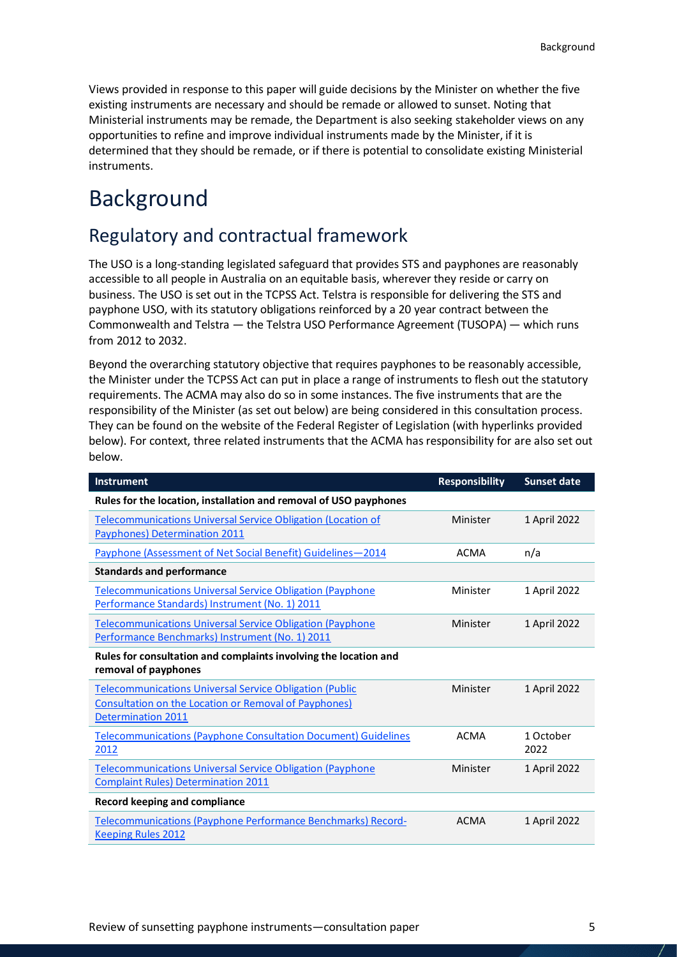Views provided in response to this paper will guide decisions by the Minister on whether the five existing instruments are necessary and should be remade or allowed to sunset. Noting that Ministerial instruments may be remade, the Department is also seeking stakeholder views on any opportunities to refine and improve individual instruments made by the Minister, if it is determined that they should be remade, or if there is potential to consolidate existing Ministerial instruments.

## <span id="page-4-0"></span>Background

### <span id="page-4-1"></span>Regulatory and contractual framework

The USO is a long-standing legislated safeguard that provides STS and payphones are reasonably accessible to all people in Australia on an equitable basis, wherever they reside or carry on business. The USO is set out in the TCPSS Act. Telstra is responsible for delivering the STS and payphone USO, with its statutory obligations reinforced by a 20 year contract between the Commonwealth and Telstra — the Telstra USO Performance Agreement (TUSOPA) — which runs from 2012 to 2032.

Beyond the overarching statutory objective that requires payphones to be reasonably accessible, the Minister under the TCPSS Act can put in place a range of instruments to flesh out the statutory requirements. The ACMA may also do so in some instances. The five instruments that are the responsibility of the Minister (as set out below) are being considered in this consultation process. They can be found on the website of the [Federal Register of](https://www.legislation.gov.au/) Legislation (with hyperlinks provided below). For context, three related instruments that the ACMA has responsibility for are also set out below.

| Instrument                                                                                                                                                  | <b>Responsibility</b> | <b>Sunset date</b> |
|-------------------------------------------------------------------------------------------------------------------------------------------------------------|-----------------------|--------------------|
| Rules for the location, installation and removal of USO payphones                                                                                           |                       |                    |
| <b>Telecommunications Universal Service Obligation (Location of</b><br>Payphones) Determination 2011                                                        | Minister              | 1 April 2022       |
| Payphone (Assessment of Net Social Benefit) Guidelines-2014                                                                                                 | <b>ACMA</b>           | n/a                |
| <b>Standards and performance</b>                                                                                                                            |                       |                    |
| <b>Telecommunications Universal Service Obligation (Payphone</b><br>Performance Standards) Instrument (No. 1) 2011                                          | Minister              | 1 April 2022       |
| <b>Telecommunications Universal Service Obligation (Payphone)</b><br>Performance Benchmarks) Instrument (No. 1) 2011                                        | Minister              | 1 April 2022       |
| Rules for consultation and complaints involving the location and<br>removal of payphones                                                                    |                       |                    |
| <b>Telecommunications Universal Service Obligation (Public</b><br><b>Consultation on the Location or Removal of Payphones)</b><br><b>Determination 2011</b> | Minister              | 1 April 2022       |
| <b>Telecommunications (Payphone Consultation Document) Guidelines</b><br>2012                                                                               | <b>ACMA</b>           | 1 October<br>2022  |
| <b>Telecommunications Universal Service Obligation (Payphone</b><br><b>Complaint Rules) Determination 2011</b>                                              | Minister              | 1 April 2022       |
| <b>Record keeping and compliance</b>                                                                                                                        |                       |                    |
| Telecommunications (Payphone Performance Benchmarks) Record-<br><b>Keeping Rules 2012</b>                                                                   | <b>ACMA</b>           | 1 April 2022       |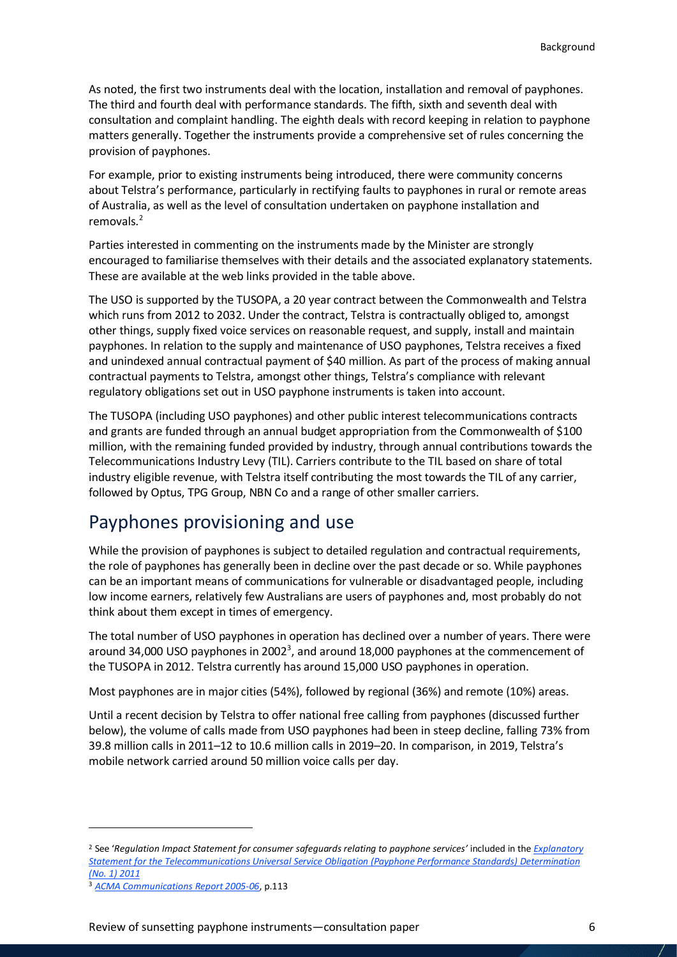As noted, the first two instruments deal with the location, installation and removal of payphones. The third and fourth deal with performance standards. The fifth, sixth and seventh deal with consultation and complaint handling. The eighth deals with record keeping in relation to payphone matters generally. Together the instruments provide a comprehensive set of rules concerning the provision of payphones.

For example, prior to existing instruments being introduced, there were community concerns about Telstra's performance, particularly in rectifying faults to payphones in rural or remote areas of Australia, as well as the level of consultation undertaken on payphone installation and removals.<sup>[2](#page-5-1)</sup>

Parties interested in commenting on the instruments made by the Minister are strongly encouraged to familiarise themselves with their details and the associated explanatory statements. These are available at the web links provided in the table above.

The USO is supported by the TUSOPA, a 20 year contract between the Commonwealth and Telstra which runs from 2012 to 2032. Under the contract, Telstra is contractually obliged to, amongst other things, supply fixed voice services on reasonable request, and supply, install and maintain payphones. In relation to the supply and maintenance of USO payphones, Telstra receives a fixed and unindexed annual contractual payment of \$40 million. As part of the process of making annual contractual payments to Telstra, amongst other things, Telstra's compliance with relevant regulatory obligations set out in USO payphone instruments is taken into account.

The TUSOPA (including USO payphones) and other public interest telecommunications contracts and grants are funded through an annual budget appropriation from the Commonwealth of \$100 million, with the remaining funded provided by industry, through annual contributions towards the Telecommunications Industry Levy (TIL). Carriers contribute to the TIL based on share of total industry eligible revenue, with Telstra itself contributing the most towards the TIL of any carrier, followed by Optus, TPG Group, NBN Co and a range of other smaller carriers.

### <span id="page-5-0"></span>Payphones provisioning and use

While the provision of payphones is subject to detailed regulation and contractual requirements, the role of payphones has generally been in decline over the past decade or so. While payphones can be an important means of communications for vulnerable or disadvantaged people, including low income earners, relatively few Australians are users of payphones and, most probably do not think about them except in times of emergency.

The total number of USO payphones in operation has declined over a number of years. There were around [3](#page-5-2)4,000 USO payphones in 2002<sup>3</sup>, and around 18,000 payphones at the commencement of the TUSOPA in 2012. Telstra currently has around 15,000 USO payphones in operation.

Most payphones are in major cities (54%), followed by regional (36%) and remote (10%) areas.

Until a recent decision by Telstra to offer national free calling from payphones (discussed further below), the volume of calls made from USO payphones had been in steep decline, falling 73% from 39.8 million calls in 2011–12 to 10.6 million calls in 2019–20. In comparison, in 2019, Telstra's mobile network carried around 50 million voice calls per day.

l

<span id="page-5-1"></span><sup>2</sup> See '*Regulation Impact Statement for consumer safeguards relating to payphone services'* included in the *[Explanatory](https://www.legislation.gov.au/Details/F2011L02709/Explanatory%20Statement/Text)  [Statement for the Telecommunications Universal Service Obligation \(Payphone Performance Standards\) Determination](https://www.legislation.gov.au/Details/F2011L02709/Explanatory%20Statement/Text)  [\(No. 1\) 2011](https://www.legislation.gov.au/Details/F2011L02709/Explanatory%20Statement/Text)*

<span id="page-5-2"></span><sup>3</sup> *[ACMA Communications Report 2005-06](https://webarchive.nla.gov.au/awa/20110117163417/http:/pandora.nla.gov.au/pan/124466/20110114-1523/05-06.pdf)*, p.113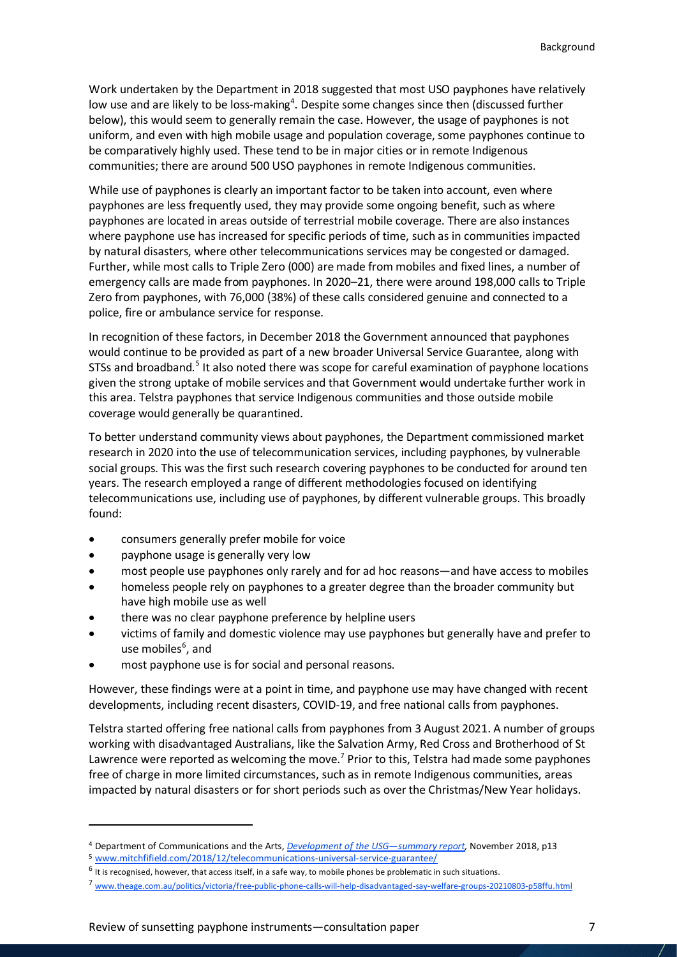Work undertaken by the Department in 2018 suggested that most USO payphones have relatively low use and are likely to be loss-making<sup>[4](#page-6-0)</sup>. Despite some changes since then (discussed further below), this would seem to generally remain the case. However, the usage of payphones is not uniform, and even with high mobile usage and population coverage, some payphones continue to be comparatively highly used. These tend to be in major cities or in remote Indigenous communities; there are around 500 USO payphones in remote Indigenous communities.

While use of payphones is clearly an important factor to be taken into account, even where payphones are less frequently used, they may provide some ongoing benefit, such as where payphones are located in areas outside of terrestrial mobile coverage. There are also instances where payphone use has increased for specific periods of time, such as in communities impacted by natural disasters, where other telecommunications services may be congested or damaged. Further, while most calls to Triple Zero (000) are made from mobiles and fixed lines, a number of emergency calls are made from payphones. In 2020–21, there were around 198,000 calls to Triple Zero from payphones, with 76,000 (38%) of these calls considered genuine and connected to a police, fire or ambulance service for response.

In recognition of these factors, in December 2018 the Government announced that payphones would continue to be provided as part of a new broader Universal Service Guarantee, along with STSs and broadband.<sup>[5](#page-6-1)</sup> It also noted there was scope for careful examination of payphone locations given the strong uptake of mobile services and that Government would undertake further work in this area. Telstra payphones that service Indigenous communities and those outside mobile coverage would generally be quarantined.

To better understand community views about payphones, the Department commissioned market research in 2020 into the use of telecommunication services, including payphones, by vulnerable social groups. This wasthe first such research covering payphones to be conducted for around ten years. The research employed a range of different methodologies focused on identifying telecommunications use, including use of payphones, by different vulnerable groups. This broadly found:

- consumers generally prefer mobile for voice
- payphone usage is generally very low

 $\overline{\phantom{a}}$ 

- most people use payphones only rarely and for ad hoc reasons—and have access to mobiles
- homeless people rely on payphones to a greater degree than the broader community but have high mobile use as well
- there was no clear payphone preference by helpline users
- victims of family and domestic violence may use payphones but generally have and prefer to use mobiles<sup>[6](#page-6-2)</sup>, and
- most payphone use is for social and personal reasons.

However, these findings were at a point in time, and payphone use may have changed with recent developments, including recent disasters, COVID-19, and free national calls from payphones.

Telstra started offering free national calls from payphones from 3 August 2021. A number of groups working with disadvantaged Australians, like the Salvation Army, Red Cross and Brotherhood of St Lawrence were reported as welcoming the move.<sup>[7](#page-6-3)</sup> Prior to this, Telstra had made some payphones free of charge in more limited circumstances, such as in remote Indigenous communities, areas impacted by natural disasters or for short periods such as over the Christmas/New Year holidays.

<span id="page-6-1"></span><span id="page-6-0"></span><sup>4</sup> Department of Communications and the Arts, *Development of the USG—summary report*, November 2018, p13<br>5 www.mitchfifield.com/2018/12/telecommunications-universal-service-guarantee/<br>6 It is recognised, however, that acc

<span id="page-6-2"></span>

<span id="page-6-3"></span><sup>7</sup> [www.theage.com.au/politics/victoria/free-public-phone-calls-will-help-disadvantaged-say-welfare-groups-20210803-p58ffu.html](http://www.theage.com.au/politics/victoria/free-public-phone-calls-will-help-disadvantaged-say-welfare-groups-20210803-p58ffu.html)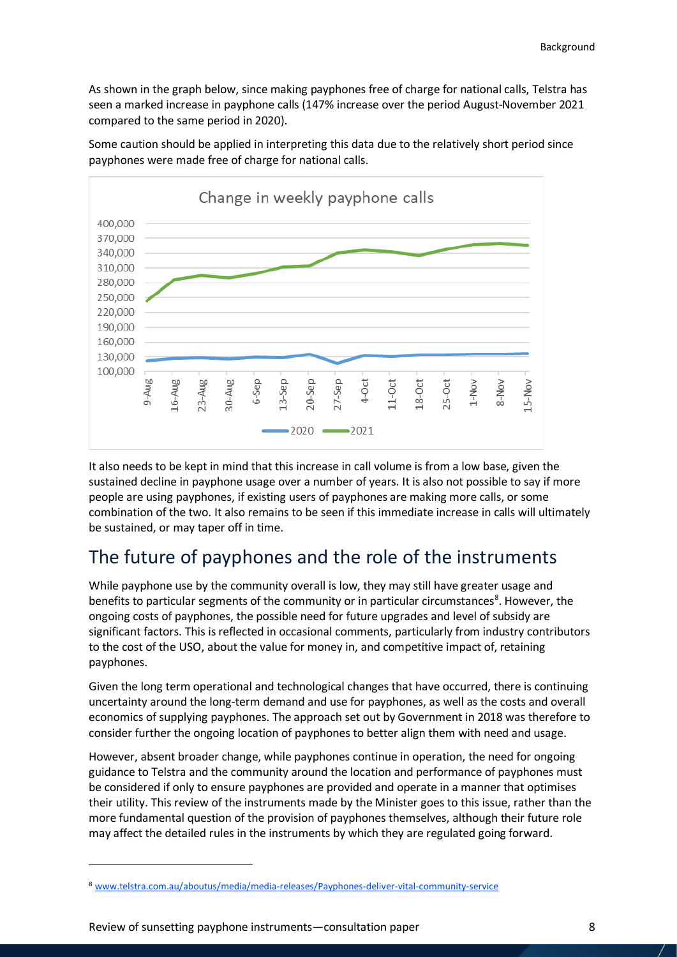As shown in the graph below, since making payphones free of charge for national calls, Telstra has seen a marked increase in payphone calls (147% increase over the period August-November 2021 compared to the same period in 2020).

Some caution should be applied in interpreting this data due to the relatively short period since payphones were made free of charge for national calls.



It also needs to be kept in mind that this increase in call volume is from a low base, given the sustained decline in payphone usage over a number of years. It is also not possible to say if more people are using payphones, if existing users of payphones are making more calls, or some combination of the two. It also remains to be seen if this immediate increase in calls will ultimately be sustained, or may taper off in time.

### <span id="page-7-0"></span>The future of payphones and the role of the instruments

While payphone use by the community overall is low, they may still have greater usage and benefits to particular segments of the community or in particular circumstances<sup>[8](#page-7-1)</sup>. However, the ongoing costs of payphones, the possible need for future upgrades and level of subsidy are significant factors. This is reflected in occasional comments, particularly from industry contributors to the cost of the USO, about the value for money in, and competitive impact of, retaining payphones.

Given the long term operational and technological changes that have occurred, there is continuing uncertainty around the long-term demand and use for payphones, as well as the costs and overall economics of supplying payphones. The approach set out by Government in 2018 was therefore to consider further the ongoing location of payphones to better align them with need and usage.

However, absent broader change, while payphones continue in operation, the need for ongoing guidance to Telstra and the community around the location and performance of payphones must be considered if only to ensure payphones are provided and operate in a manner that optimises their utility. This review of the instruments made by the Minister goes to this issue, rather than the more fundamental question of the provision of payphones themselves, although their future role may affect the detailed rules in the instruments by which they are regulated going forward.

 $\overline{\phantom{a}}$ 

<span id="page-7-1"></span><sup>8</sup> [www.telstra.com.au/aboutus/media/media-releases/Payphones-deliver-vital-community-service](http://www.telstra.com.au/aboutus/media/media-releases/Payphones-deliver-vital-community-service)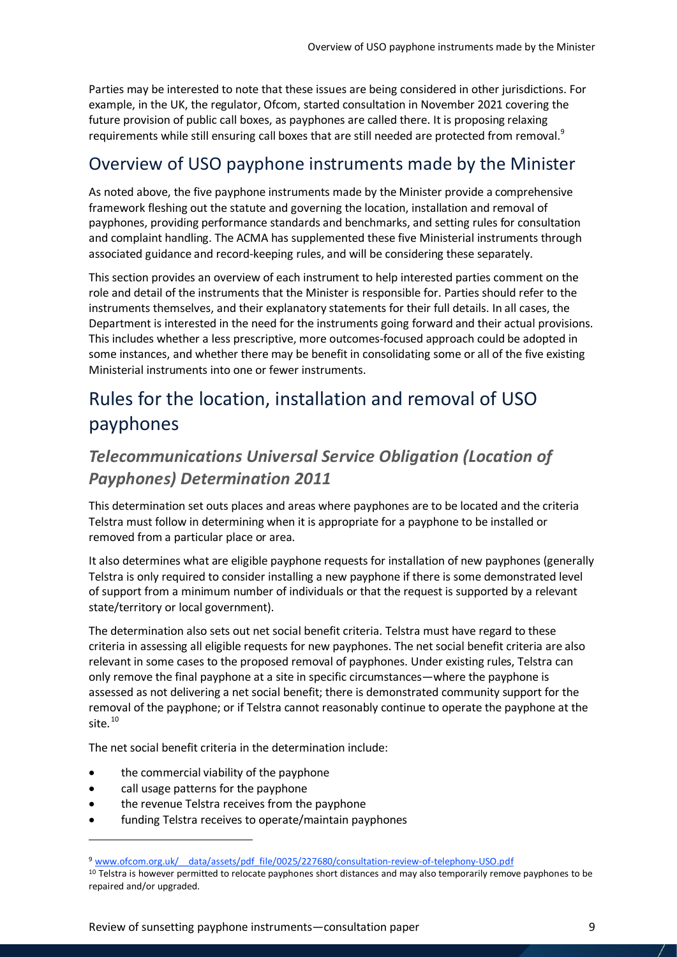Parties may be interested to note that these issues are being considered in other jurisdictions. For example, in the UK, the regulator, Ofcom, started consultation in November 2021 covering the future provision of public call boxes, as payphones are called there. It is proposing relaxing requirements while still ensuring call boxes that are still needed are protected from removal.<sup>[9](#page-8-3)</sup>

### <span id="page-8-0"></span>Overview of USO payphone instruments made by the Minister

As noted above, the five payphone instruments made by the Minister provide a comprehensive framework fleshing out the statute and governing the location, installation and removal of payphones, providing performance standards and benchmarks, and setting rules for consultation and complaint handling. The ACMA has supplemented these five Ministerial instruments through associated guidance and record-keeping rules, and will be considering these separately.

This section provides an overview of each instrument to help interested parties comment on the role and detail of the instruments that the Minister is responsible for. Parties should refer to the instruments themselves, and their explanatory statements for their full details. In all cases, the Department is interested in the need for the instruments going forward and their actual provisions. This includes whether a less prescriptive, more outcomes-focused approach could be adopted in some instances, and whether there may be benefit in consolidating some or all of the five existing Ministerial instruments into one or fewer instruments.

### <span id="page-8-1"></span>Rules for the location, installation and removal of USO payphones

#### <span id="page-8-2"></span>*Telecommunications Universal Service Obligation (Location of Payphones) Determination 2011*

This determination set outs places and areas where payphones are to be located and the criteria Telstra must follow in determining when it is appropriate for a payphone to be installed or removed from a particular place or area.

It also determines what are eligible payphone requests for installation of new payphones (generally Telstra is only required to consider installing a new payphone if there is some demonstrated level of support from a minimum number of individuals or that the request is supported by a relevant state/territory or local government).

The determination also sets out net social benefit criteria. Telstra must have regard to these criteria in assessing all eligible requests for new payphones. The net social benefit criteria are also relevant in some cases to the proposed removal of payphones. Under existing rules, Telstra can only remove the final payphone at a site in specific circumstances—where the payphone is assessed as not delivering a net social benefit; there is demonstrated community support for the removal of the payphone; or if Telstra cannot reasonably continue to operate the payphone at the site.<sup>[10](#page-8-4)</sup>

The net social benefit criteria in the determination include:

- the commercial viability of the payphone
- call usage patterns for the payphone

 $\overline{a}$ 

- the revenue Telstra receives from the payphone
- funding Telstra receives to operate/maintain payphones

<span id="page-8-3"></span><sup>9</sup> www.ofcom.org.uk/ data/assets/pdf file/0025/227680/consultation-review-of-telephony-USO.pdf 10 Telstra is however permitted to relocate payphones short distances and may also temporarily remove payphones to be

<span id="page-8-4"></span>repaired and/or upgraded.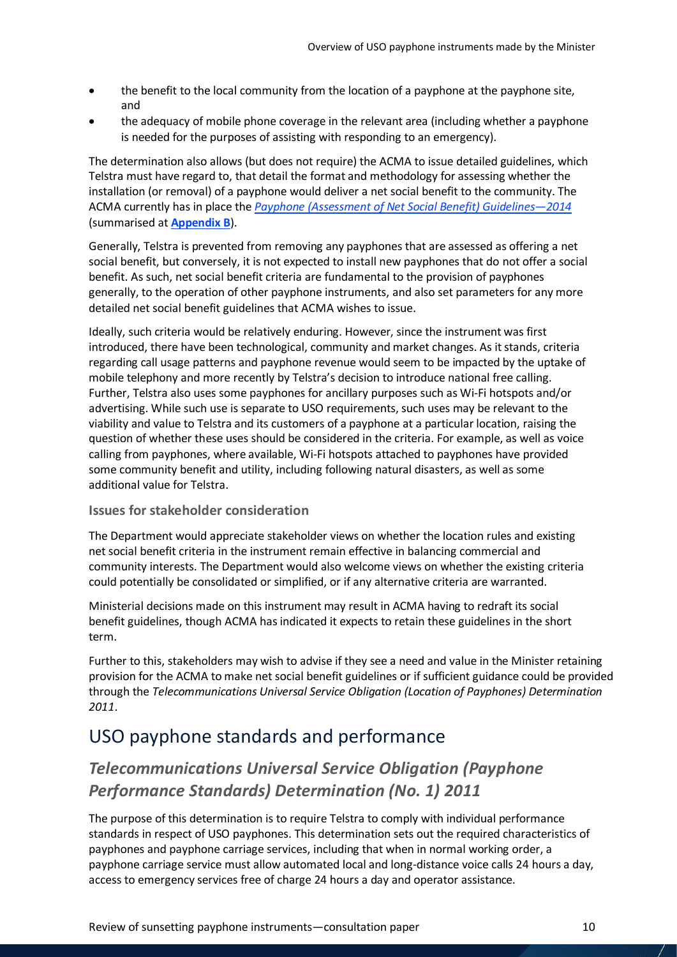- the benefit to the local community from the location of a payphone at the payphone site, and
- the adequacy of mobile phone coverage in the relevant area (including whether a payphone is needed for the purposes of assisting with responding to an emergency).

The determination also allows (but does not require) the ACMA to issue detailed guidelines, which Telstra must have regard to, that detail the format and methodology for assessing whether the installation (or removal) of a payphone would deliver a net social benefit to the community. The ACMA currently has in place the *[Payphone \(Assessment of Net Social Benefit\) Guidelines—2014](https://www.acma.gov.au/publications/2014-11/guide/payphone-assessment-net-social-benefit-guidelines-2014)* (summarised at **[Appendix B](#page-15-0)**).

Generally, Telstra is prevented from removing any payphones that are assessed as offering a net social benefit, but conversely, it is not expected to install new payphones that do not offer a social benefit. As such, net social benefit criteria are fundamental to the provision of payphones generally, to the operation of other payphone instruments, and also set parameters for any more detailed net social benefit guidelines that ACMA wishes to issue.

Ideally, such criteria would be relatively enduring. However, since the instrument was first introduced, there have been technological, community and market changes. As it stands, criteria regarding call usage patterns and payphone revenue would seem to be impacted by the uptake of mobile telephony and more recently by Telstra's decision to introduce national free calling. Further, Telstra also uses some payphones for ancillary purposes such as Wi-Fi hotspots and/or advertising. While such use is separate to USO requirements, such uses may be relevant to the viability and value to Telstra and its customers of a payphone at a particular location, raising the question of whether these uses should be considered in the criteria. For example, as well as voice calling from payphones, where available, Wi-Fi hotspots attached to payphones have provided some community benefit and utility, including following natural disasters, as well as some additional value for Telstra.

#### **Issues for stakeholder consideration**

The Department would appreciate stakeholder views on whether the location rules and existing net social benefit criteria in the instrument remain effective in balancing commercial and community interests. The Department would also welcome views on whether the existing criteria could potentially be consolidated or simplified, or if any alternative criteria are warranted.

Ministerial decisions made on this instrument may result in ACMA having to redraft its social benefit guidelines, though ACMA has indicated it expects to retain these guidelines in the short term.

Further to this, stakeholders may wish to advise if they see a need and value in the Minister retaining provision for the ACMA to make net social benefit guidelines or if sufficient guidance could be provided through the *Telecommunications Universal Service Obligation (Location of Payphones) Determination 2011*.

### <span id="page-9-0"></span>USO payphone standards and performance

### <span id="page-9-1"></span>*Telecommunications Universal Service Obligation (Payphone Performance Standards) Determination (No. 1) 2011*

The purpose of this determination is to require Telstra to comply with individual performance standards in respect of USO payphones. This determination sets out the required characteristics of payphones and payphone carriage services, including that when in normal working order, a payphone carriage service must allow automated local and long-distance voice calls 24 hours a day, access to emergency services free of charge 24 hours a day and operator assistance.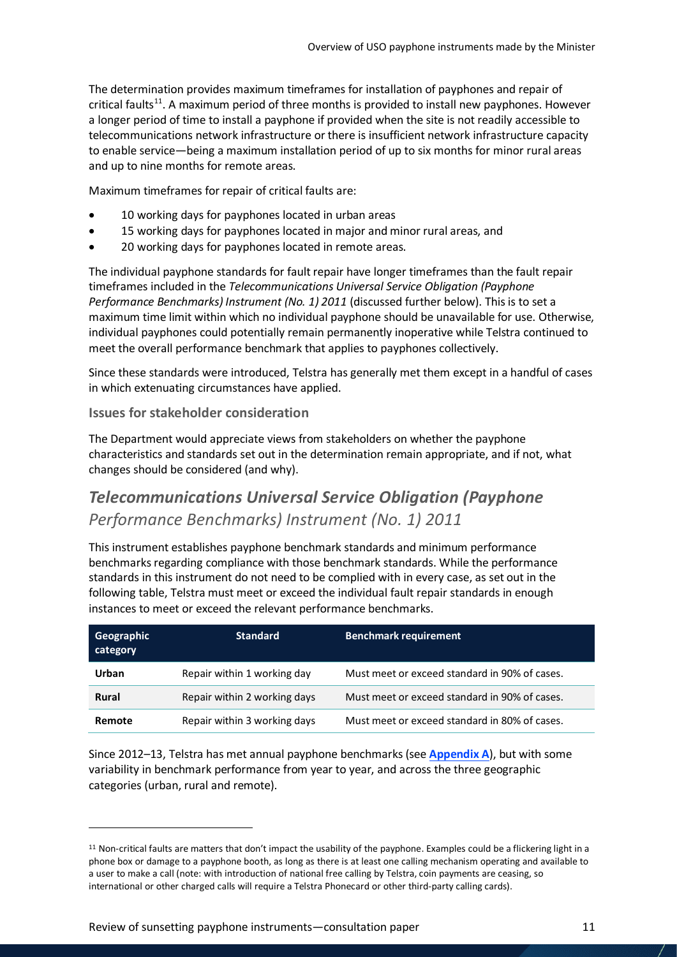The determination provides maximum timeframes for installation of payphones and repair of critical faults<sup>11</sup>. A maximum period of three months is provided to install new payphones. However a longer period of time to install a payphone if provided when the site is not readily accessible to telecommunications network infrastructure or there is insufficient network infrastructure capacity to enable service—being a maximum installation period of up to six months for minor rural areas and up to nine months for remote areas.

Maximum timeframes for repair of critical faults are:

- 10 working days for payphones located in urban areas
- 15 working days for payphones located in major and minor rural areas, and
- 20 working days for payphones located in remote areas.

The individual payphone standards for fault repair have longer timeframes than the fault repair timeframes included in the *Telecommunications Universal Service Obligation (Payphone Performance Benchmarks) Instrument (No. 1) 2011* (discussed further below). This is to set a maximum time limit within which no individual payphone should be unavailable for use. Otherwise, individual payphones could potentially remain permanently inoperative while Telstra continued to meet the overall performance benchmark that applies to payphones collectively.

Since these standards were introduced, Telstra has generally met them except in a handful of cases in which extenuating circumstances have applied.

#### **Issues for stakeholder consideration**

The Department would appreciate views from stakeholders on whether the payphone characteristics and standards set out in the determination remain appropriate, and if not, what changes should be considered (and why).

### <span id="page-10-0"></span>*Telecommunications Universal Service Obligation (Payphone Performance Benchmarks) Instrument (No. 1) 2011*

This instrument establishes payphone benchmark standards and minimum performance benchmarks regarding compliance with those benchmark standards. While the performance standards in this instrument do not need to be complied with in every case, as set out in the following table, Telstra must meet or exceed the individual fault repair standards in enough instances to meet or exceed the relevant performance benchmarks.

| Geographic<br>category | <b>Standard</b>              | <b>Benchmark requirement</b>                  |
|------------------------|------------------------------|-----------------------------------------------|
| Urban                  | Repair within 1 working day  | Must meet or exceed standard in 90% of cases. |
| <b>Rural</b>           | Repair within 2 working days | Must meet or exceed standard in 90% of cases. |
| Remote                 | Repair within 3 working days | Must meet or exceed standard in 80% of cases. |

Since 2012–13, Telstra has met annual payphone benchmarks (see **[Appendix A](#page-14-0)**), but with some variability in benchmark performance from year to year, and across the three geographic categories (urban, rural and remote).

l

<span id="page-10-1"></span> $11$  Non-critical faults are matters that don't impact the usability of the payphone. Examples could be a flickering light in a phone box or damage to a payphone booth, as long as there is at least one calling mechanism operating and available to a user to make a call (note: with introduction of national free calling by Telstra, coin payments are ceasing, so international or other charged calls will require a Telstra Phonecard or other third-party calling cards).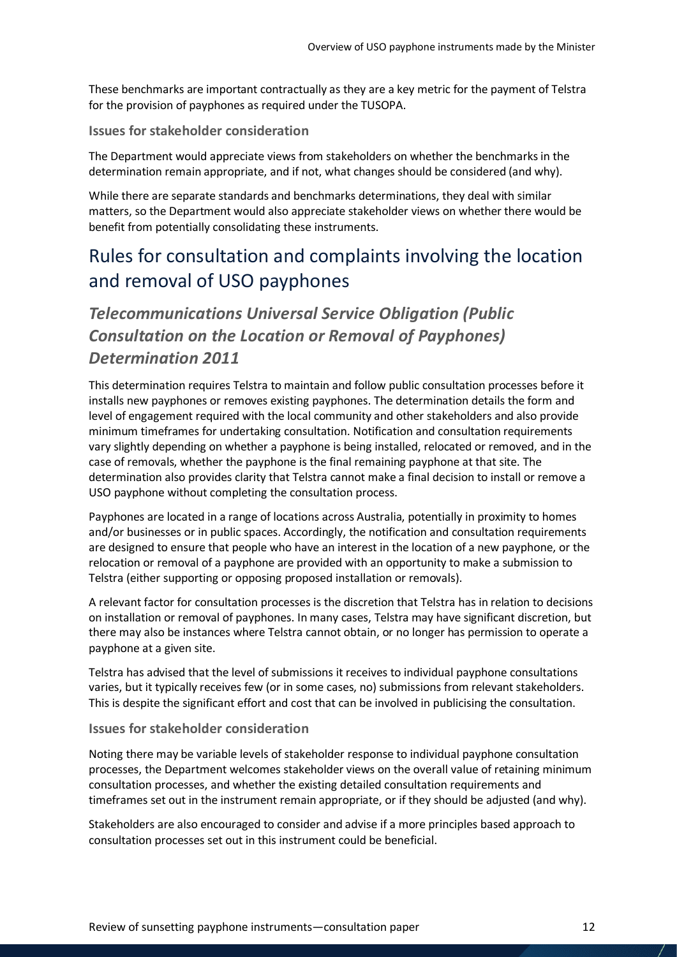These benchmarks are important contractually as they are a key metric for the payment of Telstra for the provision of payphones as required under the TUSOPA.

#### **Issues for stakeholder consideration**

The Department would appreciate views from stakeholders on whether the benchmarksin the determination remain appropriate, and if not, what changes should be considered (and why).

While there are separate standards and benchmarks determinations, they deal with similar matters, so the Department would also appreciate stakeholder views on whether there would be benefit from potentially consolidating these instruments.

### <span id="page-11-0"></span>Rules for consultation and complaints involving the location and removal of USO payphones

### <span id="page-11-1"></span>*Telecommunications Universal Service Obligation (Public Consultation on the Location or Removal of Payphones) Determination 2011*

This determination requires Telstra to maintain and follow public consultation processes before it installs new payphones or removes existing payphones. The determination details the form and level of engagement required with the local community and other stakeholders and also provide minimum timeframes for undertaking consultation. Notification and consultation requirements vary slightly depending on whether a payphone is being installed, relocated or removed, and in the case of removals, whether the payphone is the final remaining payphone at that site. The determination also provides clarity that Telstra cannot make a final decision to install or remove a USO payphone without completing the consultation process.

Payphones are located in a range of locations across Australia, potentially in proximity to homes and/or businesses or in public spaces. Accordingly, the notification and consultation requirements are designed to ensure that people who have an interest in the location of a new payphone, or the relocation or removal of a payphone are provided with an opportunity to make a submission to Telstra (either supporting or opposing proposed installation or removals).

A relevant factor for consultation processes is the discretion that Telstra has in relation to decisions on installation or removal of payphones. In many cases, Telstra may have significant discretion, but there may also be instances where Telstra cannot obtain, or no longer has permission to operate a payphone at a given site.

Telstra has advised that the level of submissions it receives to individual payphone consultations varies, but it typically receives few (or in some cases, no) submissions from relevant stakeholders. This is despite the significant effort and cost that can be involved in publicising the consultation.

#### **Issues for stakeholder consideration**

Noting there may be variable levels of stakeholder response to individual payphone consultation processes, the Department welcomes stakeholder views on the overall value of retaining minimum consultation processes, and whether the existing detailed consultation requirements and timeframes set out in the instrument remain appropriate, or if they should be adjusted (and why).

Stakeholders are also encouraged to consider and advise if a more principles based approach to consultation processes set out in this instrument could be beneficial.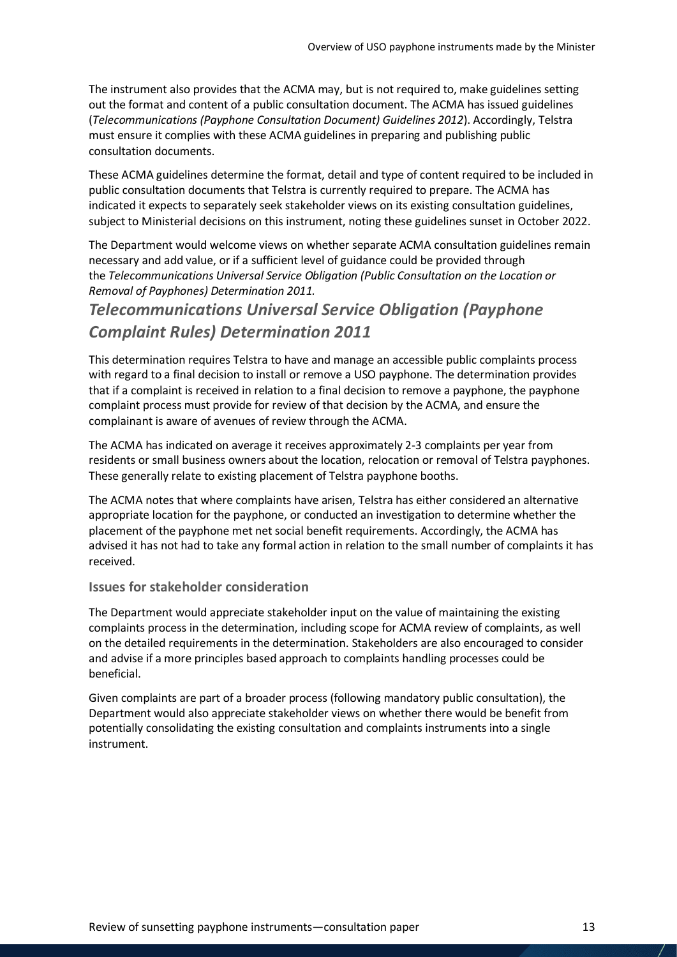The instrument also provides that the ACMA may, but is not required to, make guidelines setting out the format and content of a public consultation document. The ACMA has issued guidelines (*Telecommunications (Payphone Consultation Document) Guidelines 2012*). Accordingly, Telstra must ensure it complies with these ACMA guidelines in preparing and publishing public consultation documents.

These ACMA guidelines determine the format, detail and type of content required to be included in public consultation documents that Telstra is currently required to prepare. The ACMA has indicated it expects to separately seek stakeholder views on its existing consultation guidelines, subject to Ministerial decisions on this instrument, noting these guidelines sunset in October 2022.

The Department would welcome views on whether separate ACMA consultation guidelines remain necessary and add value, or if a sufficient level of guidance could be provided through the *Telecommunications Universal Service Obligation (Public Consultation on the Location or Removal of Payphones) Determination 2011.* 

### <span id="page-12-0"></span>*Telecommunications Universal Service Obligation (Payphone Complaint Rules) Determination 2011*

This determination requires Telstra to have and manage an accessible public complaints process with regard to a final decision to install or remove a USO payphone. The determination provides that if a complaint is received in relation to a final decision to remove a payphone, the payphone complaint process must provide for review of that decision by the ACMA, and ensure the complainant is aware of avenues of review through the ACMA.

The ACMA has indicated on average it receives approximately 2-3 complaints per year from residents or small business owners about the location, relocation or removal of Telstra payphones. These generally relate to existing placement of Telstra payphone booths.

The ACMA notes that where complaints have arisen, Telstra has either considered an alternative appropriate location for the payphone, or conducted an investigation to determine whether the placement of the payphone met net social benefit requirements. Accordingly, the ACMA has advised it has not had to take any formal action in relation to the small number of complaints it has received.

#### **Issues for stakeholder consideration**

The Department would appreciate stakeholder input on the value of maintaining the existing complaints process in the determination, including scope for ACMA review of complaints, as well on the detailed requirements in the determination. Stakeholders are also encouraged to consider and advise if a more principles based approach to complaints handling processes could be beneficial.

Given complaints are part of a broader process (following mandatory public consultation), the Department would also appreciate stakeholder views on whether there would be benefit from potentially consolidating the existing consultation and complaints instruments into a single instrument.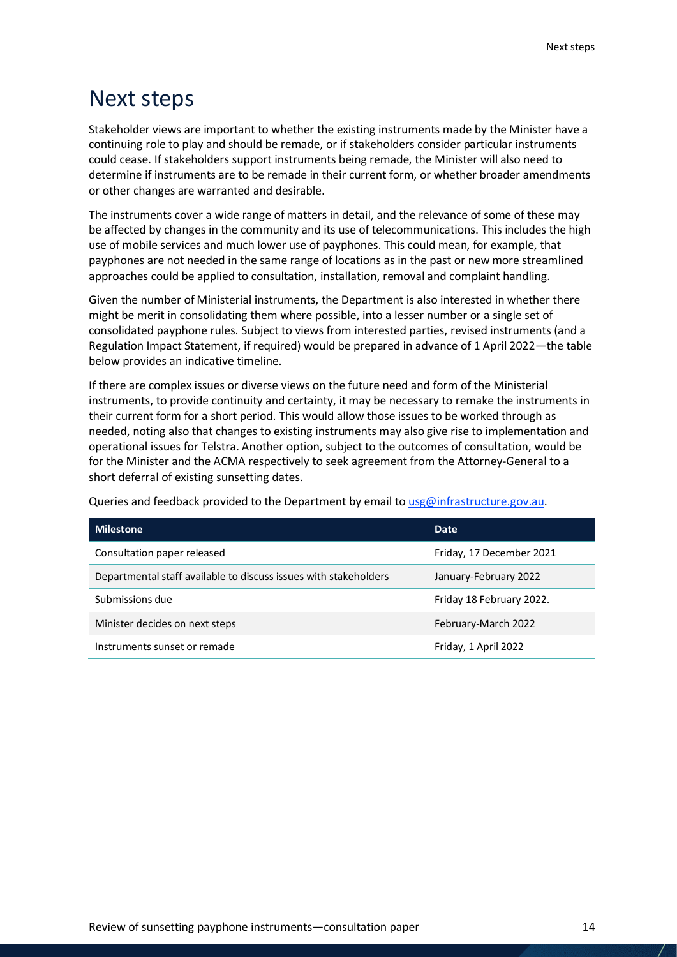## <span id="page-13-0"></span>Next steps

Stakeholder views are important to whether the existing instruments made by the Minister have a continuing role to play and should be remade, or if stakeholders consider particular instruments could cease. If stakeholders support instruments being remade, the Minister will also need to determine if instruments are to be remade in their current form, or whether broader amendments or other changes are warranted and desirable.

The instruments cover a wide range of matters in detail, and the relevance of some of these may be affected by changes in the community and its use of telecommunications. This includes the high use of mobile services and much lower use of payphones. This could mean, for example, that payphones are not needed in the same range of locations as in the past or new more streamlined approaches could be applied to consultation, installation, removal and complaint handling.

Given the number of Ministerial instruments, the Department is also interested in whether there might be merit in consolidating them where possible, into a lesser number or a single set of consolidated payphone rules. Subject to views from interested parties, revised instruments (and a Regulation Impact Statement, if required) would be prepared in advance of 1 April 2022—the table below provides an indicative timeline.

If there are complex issues or diverse views on the future need and form of the Ministerial instruments, to provide continuity and certainty, it may be necessary to remake the instruments in their current form for a short period. This would allow those issues to be worked through as needed, noting also that changes to existing instruments may also give rise to implementation and operational issues for Telstra. Another option, subject to the outcomes of consultation, would be for the Minister and the ACMA respectively to seek agreement from the Attorney-General to a short deferral of existing sunsetting dates.

Queries and feedback provided to the Department by email to [usg@infrastructure.gov.au.](mailto:usg@infrastructure.gov.au)

| <b>Milestone</b>                                                 | Date                     |
|------------------------------------------------------------------|--------------------------|
| Consultation paper released                                      | Friday, 17 December 2021 |
| Departmental staff available to discuss issues with stakeholders | January-February 2022    |
| Submissions due                                                  | Friday 18 February 2022. |
| Minister decides on next steps                                   | February-March 2022      |
| Instruments sunset or remade                                     | Friday, 1 April 2022     |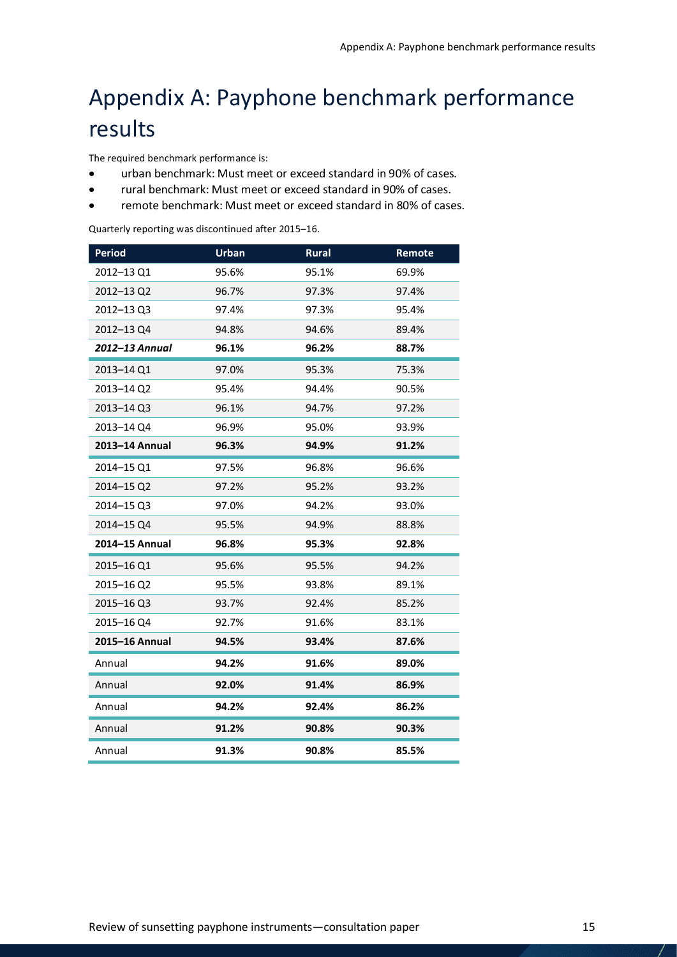## <span id="page-14-0"></span>Appendix A: Payphone benchmark performance results

The required benchmark performance is:

- urban benchmark: Must meet or exceed standard in 90% of cases.
- rural benchmark: Must meet or exceed standard in 90% of cases.
- remote benchmark: Must meet or exceed standard in 80% of cases.

Quarterly reporting was discontinued after 2015–16.

| <b>Period</b>  | <b>Urban</b> | Rural | Remote |
|----------------|--------------|-------|--------|
| 2012-13 Q1     | 95.6%        | 95.1% | 69.9%  |
| 2012-13 Q2     | 96.7%        | 97.3% | 97.4%  |
| 2012-13 Q3     | 97.4%        | 97.3% | 95.4%  |
| 2012-13 Q4     | 94.8%        | 94.6% | 89.4%  |
| 2012–13 Annual | 96.1%        | 96.2% | 88.7%  |
| 2013-14 Q1     | 97.0%        | 95.3% | 75.3%  |
| 2013-14 Q2     | 95.4%        | 94.4% | 90.5%  |
| 2013-14 Q3     | 96.1%        | 94.7% | 97.2%  |
| 2013-14 Q4     | 96.9%        | 95.0% | 93.9%  |
| 2013-14 Annual | 96.3%        | 94.9% | 91.2%  |
| 2014-15 Q1     | 97.5%        | 96.8% | 96.6%  |
| 2014-15 Q2     | 97.2%        | 95.2% | 93.2%  |
| 2014-15 Q3     | 97.0%        | 94.2% | 93.0%  |
| 2014-15 Q4     | 95.5%        | 94.9% | 88.8%  |
| 2014-15 Annual | 96.8%        | 95.3% | 92.8%  |
| 2015-16 Q1     | 95.6%        | 95.5% | 94.2%  |
| 2015-16 Q2     | 95.5%        | 93.8% | 89.1%  |
| 2015-16 Q3     | 93.7%        | 92.4% | 85.2%  |
| 2015-16 Q4     | 92.7%        | 91.6% | 83.1%  |
| 2015-16 Annual | 94.5%        | 93.4% | 87.6%  |
| Annual         | 94.2%        | 91.6% | 89.0%  |
| Annual         | 92.0%        | 91.4% | 86.9%  |
| Annual         | 94.2%        | 92.4% | 86.2%  |
| Annual         | 91.2%        | 90.8% | 90.3%  |
| Annual         | 91.3%        | 90.8% | 85.5%  |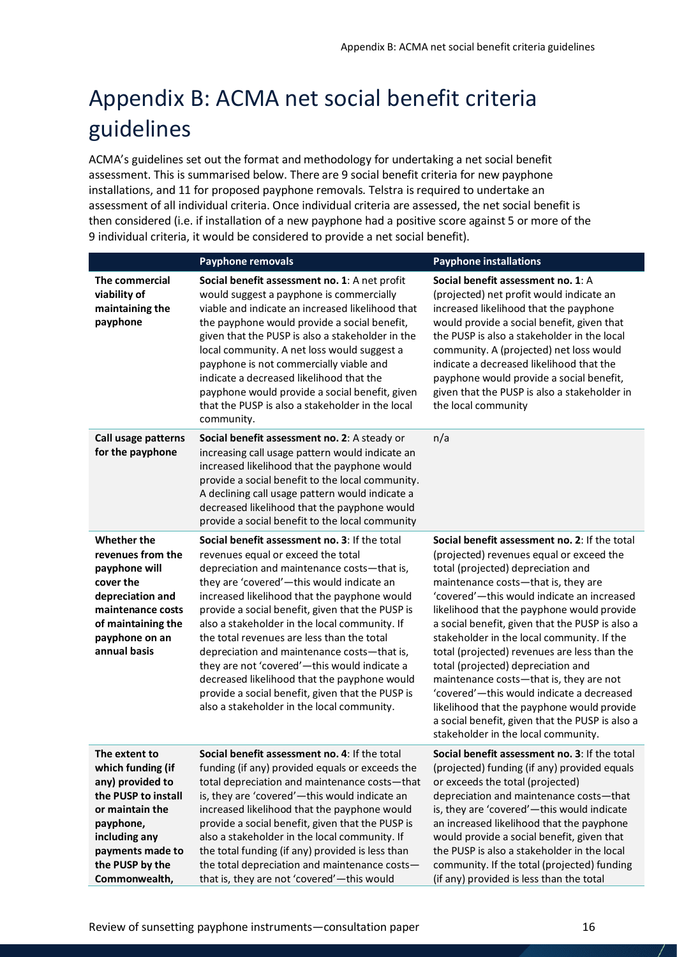## <span id="page-15-0"></span>Appendix B: ACMA net social benefit criteria guidelines

ACMA's guidelines set out the format and methodology for undertaking a net social benefit assessment. This is summarised below. There are 9 social benefit criteria for new payphone installations, and 11 for proposed payphone removals. Telstra is required to undertake an assessment of all individual criteria. Once individual criteria are assessed, the net social benefit is then considered (i.e. if installation of a new payphone had a positive score against 5 or more of the 9 individual criteria, it would be considered to provide a net social benefit).

|                                                                                                                                                                                        | <b>Payphone removals</b>                                                                                                                                                                                                                                                                                                                                                                                                                                                                                                                                                                                                            | <b>Payphone installations</b>                                                                                                                                                                                                                                                                                                                                                                                                                                                                                                                                                                                                                                                             |
|----------------------------------------------------------------------------------------------------------------------------------------------------------------------------------------|-------------------------------------------------------------------------------------------------------------------------------------------------------------------------------------------------------------------------------------------------------------------------------------------------------------------------------------------------------------------------------------------------------------------------------------------------------------------------------------------------------------------------------------------------------------------------------------------------------------------------------------|-------------------------------------------------------------------------------------------------------------------------------------------------------------------------------------------------------------------------------------------------------------------------------------------------------------------------------------------------------------------------------------------------------------------------------------------------------------------------------------------------------------------------------------------------------------------------------------------------------------------------------------------------------------------------------------------|
| The commercial<br>viability of<br>maintaining the<br>payphone                                                                                                                          | Social benefit assessment no. 1: A net profit<br>would suggest a payphone is commercially<br>viable and indicate an increased likelihood that<br>the payphone would provide a social benefit,<br>given that the PUSP is also a stakeholder in the<br>local community. A net loss would suggest a<br>payphone is not commercially viable and<br>indicate a decreased likelihood that the<br>payphone would provide a social benefit, given<br>that the PUSP is also a stakeholder in the local<br>community.                                                                                                                         | Social benefit assessment no. 1: A<br>(projected) net profit would indicate an<br>increased likelihood that the payphone<br>would provide a social benefit, given that<br>the PUSP is also a stakeholder in the local<br>community. A (projected) net loss would<br>indicate a decreased likelihood that the<br>payphone would provide a social benefit,<br>given that the PUSP is also a stakeholder in<br>the local community                                                                                                                                                                                                                                                           |
| Call usage patterns<br>for the payphone                                                                                                                                                | Social benefit assessment no. 2: A steady or<br>increasing call usage pattern would indicate an<br>increased likelihood that the payphone would<br>provide a social benefit to the local community.<br>A declining call usage pattern would indicate a<br>decreased likelihood that the payphone would<br>provide a social benefit to the local community                                                                                                                                                                                                                                                                           | n/a                                                                                                                                                                                                                                                                                                                                                                                                                                                                                                                                                                                                                                                                                       |
| Whether the<br>revenues from the<br>payphone will<br>cover the<br>depreciation and<br>maintenance costs<br>of maintaining the<br>payphone on an<br>annual basis                        | Social benefit assessment no. 3: If the total<br>revenues equal or exceed the total<br>depreciation and maintenance costs-that is,<br>they are 'covered'-this would indicate an<br>increased likelihood that the payphone would<br>provide a social benefit, given that the PUSP is<br>also a stakeholder in the local community. If<br>the total revenues are less than the total<br>depreciation and maintenance costs-that is,<br>they are not 'covered'-this would indicate a<br>decreased likelihood that the payphone would<br>provide a social benefit, given that the PUSP is<br>also a stakeholder in the local community. | Social benefit assessment no. 2: If the total<br>(projected) revenues equal or exceed the<br>total (projected) depreciation and<br>maintenance costs-that is, they are<br>'covered'-this would indicate an increased<br>likelihood that the payphone would provide<br>a social benefit, given that the PUSP is also a<br>stakeholder in the local community. If the<br>total (projected) revenues are less than the<br>total (projected) depreciation and<br>maintenance costs-that is, they are not<br>'covered'-this would indicate a decreased<br>likelihood that the payphone would provide<br>a social benefit, given that the PUSP is also a<br>stakeholder in the local community. |
| The extent to<br>which funding (if<br>any) provided to<br>the PUSP to install<br>or maintain the<br>payphone,<br>including any<br>payments made to<br>the PUSP by the<br>Commonwealth, | Social benefit assessment no. 4: If the total<br>funding (if any) provided equals or exceeds the<br>total depreciation and maintenance costs-that<br>is, they are 'covered'-this would indicate an<br>increased likelihood that the payphone would<br>provide a social benefit, given that the PUSP is<br>also a stakeholder in the local community. If<br>the total funding (if any) provided is less than<br>the total depreciation and maintenance costs-<br>that is, they are not 'covered'-this would                                                                                                                          | Social benefit assessment no. 3: If the total<br>(projected) funding (if any) provided equals<br>or exceeds the total (projected)<br>depreciation and maintenance costs-that<br>is, they are 'covered'-this would indicate<br>an increased likelihood that the payphone<br>would provide a social benefit, given that<br>the PUSP is also a stakeholder in the local<br>community. If the total (projected) funding<br>(if any) provided is less than the total                                                                                                                                                                                                                           |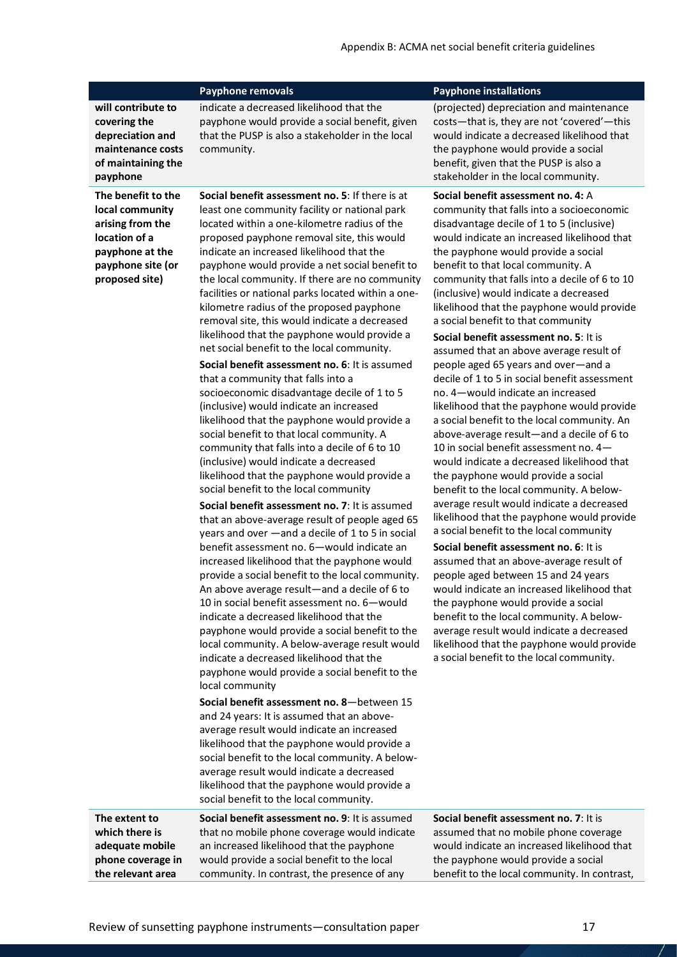|                                                                                                                                      | Payphone removals                                                                                                                                                                                                                                                                                                                                                                                                                                                                                                                                                                                                                                                                                                                                                                                                                                                                                                                                                                                                                                                                                                                                                                                                                                                                                                                                                                                                                                                                                                                                                                                                                                                                                                                                                                                                                                                                                                                                                                                                                                                                                                                 | <b>Payphone installations</b>                                                                                                                                                                                                                                                                                                                                                                                                                                                                                                                                                                                                                                                                                                                                                                                                                                                                                                                                                                                                                                                                                                                                                                                                                                                                                                                                                                                                                                                                                             |
|--------------------------------------------------------------------------------------------------------------------------------------|-----------------------------------------------------------------------------------------------------------------------------------------------------------------------------------------------------------------------------------------------------------------------------------------------------------------------------------------------------------------------------------------------------------------------------------------------------------------------------------------------------------------------------------------------------------------------------------------------------------------------------------------------------------------------------------------------------------------------------------------------------------------------------------------------------------------------------------------------------------------------------------------------------------------------------------------------------------------------------------------------------------------------------------------------------------------------------------------------------------------------------------------------------------------------------------------------------------------------------------------------------------------------------------------------------------------------------------------------------------------------------------------------------------------------------------------------------------------------------------------------------------------------------------------------------------------------------------------------------------------------------------------------------------------------------------------------------------------------------------------------------------------------------------------------------------------------------------------------------------------------------------------------------------------------------------------------------------------------------------------------------------------------------------------------------------------------------------------------------------------------------------|---------------------------------------------------------------------------------------------------------------------------------------------------------------------------------------------------------------------------------------------------------------------------------------------------------------------------------------------------------------------------------------------------------------------------------------------------------------------------------------------------------------------------------------------------------------------------------------------------------------------------------------------------------------------------------------------------------------------------------------------------------------------------------------------------------------------------------------------------------------------------------------------------------------------------------------------------------------------------------------------------------------------------------------------------------------------------------------------------------------------------------------------------------------------------------------------------------------------------------------------------------------------------------------------------------------------------------------------------------------------------------------------------------------------------------------------------------------------------------------------------------------------------|
| will contribute to<br>covering the<br>depreciation and<br>maintenance costs<br>of maintaining the<br>payphone                        | indicate a decreased likelihood that the<br>payphone would provide a social benefit, given<br>that the PUSP is also a stakeholder in the local<br>community.                                                                                                                                                                                                                                                                                                                                                                                                                                                                                                                                                                                                                                                                                                                                                                                                                                                                                                                                                                                                                                                                                                                                                                                                                                                                                                                                                                                                                                                                                                                                                                                                                                                                                                                                                                                                                                                                                                                                                                      | (projected) depreciation and maintenance<br>costs-that is, they are not 'covered'-this<br>would indicate a decreased likelihood that<br>the payphone would provide a social<br>benefit, given that the PUSP is also a<br>stakeholder in the local community.                                                                                                                                                                                                                                                                                                                                                                                                                                                                                                                                                                                                                                                                                                                                                                                                                                                                                                                                                                                                                                                                                                                                                                                                                                                              |
| The benefit to the<br>local community<br>arising from the<br>location of a<br>payphone at the<br>payphone site (or<br>proposed site) | Social benefit assessment no. 5: If there is at<br>least one community facility or national park<br>located within a one-kilometre radius of the<br>proposed payphone removal site, this would<br>indicate an increased likelihood that the<br>payphone would provide a net social benefit to<br>the local community. If there are no community<br>facilities or national parks located within a one-<br>kilometre radius of the proposed payphone<br>removal site, this would indicate a decreased<br>likelihood that the payphone would provide a<br>net social benefit to the local community.<br>Social benefit assessment no. 6: It is assumed<br>that a community that falls into a<br>socioeconomic disadvantage decile of 1 to 5<br>(inclusive) would indicate an increased<br>likelihood that the payphone would provide a<br>social benefit to that local community. A<br>community that falls into a decile of 6 to 10<br>(inclusive) would indicate a decreased<br>likelihood that the payphone would provide a<br>social benefit to the local community<br>Social benefit assessment no. 7: It is assumed<br>that an above-average result of people aged 65<br>years and over -and a decile of 1 to 5 in social<br>benefit assessment no. 6-would indicate an<br>increased likelihood that the payphone would<br>provide a social benefit to the local community.<br>An above average result-and a decile of 6 to<br>10 in social benefit assessment no. 6-would<br>indicate a decreased likelihood that the<br>payphone would provide a social benefit to the<br>local community. A below-average result would<br>indicate a decreased likelihood that the<br>payphone would provide a social benefit to the<br>local community<br>Social benefit assessment no. 8-between 15<br>and 24 years: It is assumed that an above-<br>average result would indicate an increased<br>likelihood that the payphone would provide a<br>social benefit to the local community. A below-<br>average result would indicate a decreased<br>likelihood that the payphone would provide a<br>social benefit to the local community. | Social benefit assessment no. 4: A<br>community that falls into a socioeconomic<br>disadvantage decile of 1 to 5 (inclusive)<br>would indicate an increased likelihood that<br>the payphone would provide a social<br>benefit to that local community. A<br>community that falls into a decile of 6 to 10<br>(inclusive) would indicate a decreased<br>likelihood that the payphone would provide<br>a social benefit to that community<br>Social benefit assessment no. 5: It is<br>assumed that an above average result of<br>people aged 65 years and over-and a<br>decile of 1 to 5 in social benefit assessment<br>no. 4-would indicate an increased<br>likelihood that the payphone would provide<br>a social benefit to the local community. An<br>above-average result-and a decile of 6 to<br>10 in social benefit assessment no. 4-<br>would indicate a decreased likelihood that<br>the payphone would provide a social<br>benefit to the local community. A below-<br>average result would indicate a decreased<br>likelihood that the payphone would provide<br>a social benefit to the local community<br>Social benefit assessment no. 6: It is<br>assumed that an above-average result of<br>people aged between 15 and 24 years<br>would indicate an increased likelihood that<br>the payphone would provide a social<br>benefit to the local community. A below-<br>average result would indicate a decreased<br>likelihood that the payphone would provide<br>a social benefit to the local community. |
| The extent to<br>which there is<br>adequate mobile<br>phone coverage in<br>the relevant area                                         | Social benefit assessment no. 9: It is assumed<br>that no mobile phone coverage would indicate<br>an increased likelihood that the payphone<br>would provide a social benefit to the local<br>community. In contrast, the presence of any                                                                                                                                                                                                                                                                                                                                                                                                                                                                                                                                                                                                                                                                                                                                                                                                                                                                                                                                                                                                                                                                                                                                                                                                                                                                                                                                                                                                                                                                                                                                                                                                                                                                                                                                                                                                                                                                                         | Social benefit assessment no. 7: It is<br>assumed that no mobile phone coverage<br>would indicate an increased likelihood that<br>the payphone would provide a social<br>benefit to the local community. In contrast,                                                                                                                                                                                                                                                                                                                                                                                                                                                                                                                                                                                                                                                                                                                                                                                                                                                                                                                                                                                                                                                                                                                                                                                                                                                                                                     |